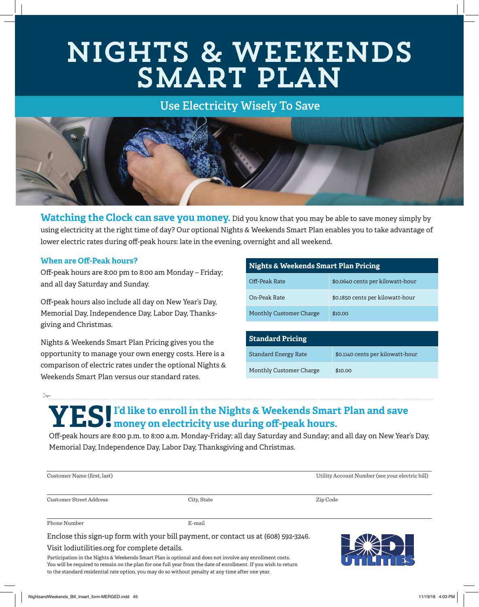# Nights & Weekends SMART PLAN

## **Use Electricity Wisely To Save**



**Watching the Clock can save you money.** Did you know that you may be able to save money simply by using electricity at the right time of day? Our optional Nights & Weekends Smart Plan enables you to take advantage of lower electric rates during off-peak hours: late in the evening, overnight and all weekend.

#### **When are Off-Peak hours?**

 $\frac{1}{2}$ 

Off-peak hours are 8:00 pm to 8:00 am Monday – Friday; and all day Saturday and Sunday.

Off-peak hours also include all day on New Year's Day, Memorial Day, Independence Day, Labor Day, Thanksgiving and Christmas.

Nights & Weekends Smart Plan Pricing gives you the opportunity to manage your own energy costs. Here is a comparison of electric rates under the optional Nights & Weekends Smart Plan versus our standard rates.

| <b>Nights &amp; Weekends Smart Plan Pricing</b> |                                  |  |
|-------------------------------------------------|----------------------------------|--|
| Off-Peak Rate                                   | \$0.0640 cents per kilowatt-hour |  |
| On-Peak Rate                                    | \$0.1850 cents per kilowatt-hour |  |
| <b>Monthly Customer Charge</b>                  | \$10.00                          |  |

| <b>Standard Pricing</b>     |                                  |
|-----------------------------|----------------------------------|
| <b>Standard Energy Rate</b> | \$0.1140 cents per kilowatt-hour |
| Monthly Customer Charge     | \$10.00                          |

# **YES! I'd like to enroll in the Nights & Weekends Smart Plan and save money on electricity use during off-peak hours.**

Off-peak hours are 8:00 p.m. to 8:00 a.m. Monday-Friday; all day Saturday and Sunday; and all day on New Year's Day, Memorial Day, Independence Day, Labor Day, Thanksgiving and Christmas.

| Customer Name (first, last)                   |                                                                                    | Utility Account Number (see your electric bill) |
|-----------------------------------------------|------------------------------------------------------------------------------------|-------------------------------------------------|
| Customer Street Address                       | City, State                                                                        | Zip Code                                        |
| Phone Number                                  | E-mail                                                                             |                                                 |
|                                               | Enclose this sign-up form with your bill payment, or contact us at (608) 592-3246. |                                                 |
| Visit lodiutilities.org for complete details. |                                                                                    | $\sim$                                          |

Participation in the Nights & Weekends Smart Plan is optional and does not involve any enrollment costs. You will be required to remain on the plan for one full year from the date of enrollment. If you wish to return to the standard residential rate option, you may do so without penalty at any time after one year.